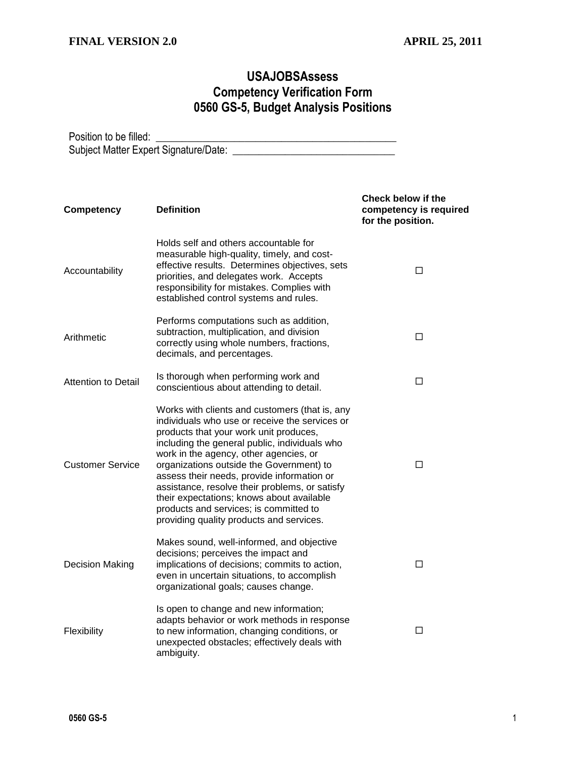## **USAJOBSAssess Competency Verification Form 0560 GS-5, Budget Analysis Positions**

Position to be filled: \_\_\_\_\_\_\_\_\_\_\_\_\_\_\_\_\_\_\_\_\_\_\_\_\_\_\_\_\_\_\_\_\_\_\_\_\_\_\_\_\_\_\_\_\_\_ Subject Matter Expert Signature/Date: \_\_\_\_\_\_\_\_\_\_\_\_\_\_\_\_\_\_\_\_\_\_\_\_\_\_\_\_\_\_\_

| <b>Competency</b>          | <b>Definition</b>                                                                                                                                                                                                                                                                                                                                                                                                                                                                                                    | <b>Check below if the</b><br>competency is required<br>for the position. |
|----------------------------|----------------------------------------------------------------------------------------------------------------------------------------------------------------------------------------------------------------------------------------------------------------------------------------------------------------------------------------------------------------------------------------------------------------------------------------------------------------------------------------------------------------------|--------------------------------------------------------------------------|
| Accountability             | Holds self and others accountable for<br>measurable high-quality, timely, and cost-<br>effective results. Determines objectives, sets<br>priorities, and delegates work. Accepts<br>responsibility for mistakes. Complies with<br>established control systems and rules.                                                                                                                                                                                                                                             | □                                                                        |
| Arithmetic                 | Performs computations such as addition,<br>subtraction, multiplication, and division<br>correctly using whole numbers, fractions,<br>decimals, and percentages.                                                                                                                                                                                                                                                                                                                                                      | □                                                                        |
| <b>Attention to Detail</b> | Is thorough when performing work and<br>conscientious about attending to detail.                                                                                                                                                                                                                                                                                                                                                                                                                                     | □                                                                        |
| <b>Customer Service</b>    | Works with clients and customers (that is, any<br>individuals who use or receive the services or<br>products that your work unit produces,<br>including the general public, individuals who<br>work in the agency, other agencies, or<br>organizations outside the Government) to<br>assess their needs, provide information or<br>assistance, resolve their problems, or satisfy<br>their expectations; knows about available<br>products and services; is committed to<br>providing quality products and services. | □                                                                        |
| <b>Decision Making</b>     | Makes sound, well-informed, and objective<br>decisions; perceives the impact and<br>implications of decisions; commits to action,<br>even in uncertain situations, to accomplish<br>organizational goals; causes change.                                                                                                                                                                                                                                                                                             | □                                                                        |
| Flexibility                | Is open to change and new information;<br>adapts behavior or work methods in response<br>to new information, changing conditions, or<br>unexpected obstacles; effectively deals with<br>ambiguity.                                                                                                                                                                                                                                                                                                                   | □                                                                        |